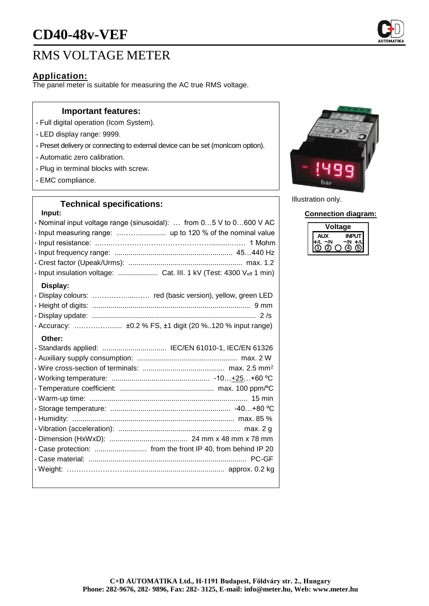# **CD40-48v-VEF**

## RMS VOLTAGE METER

#### **Application:**

The panel meter is suitable for measuring the AC true RMS voltage.

#### **Important features:**

- Full digital operation (Icom System).
- LED display range: 9999.
- Preset delivery or connecting to external device can be set (monIcom option).
- Automatic zero calibration.
- Plug in terminal blocks with screw.
- EMC compliance.

### **Technical specifications:**

| Input:                                                              |
|---------------------------------------------------------------------|
| · Nominal input voltage range (sinusoidal):  from 05 V to 0600 V AC |
|                                                                     |
|                                                                     |
|                                                                     |
|                                                                     |
| · Input insulation voltage:  Cat. III. 1 kV (Test: 4300 Veff 1 min) |
| Display:                                                            |
|                                                                     |
|                                                                     |
|                                                                     |
|                                                                     |
| Other:                                                              |
| · Standards applied:  IEC/EN 61010-1, IEC/EN 61326                  |
|                                                                     |
|                                                                     |
|                                                                     |
|                                                                     |
|                                                                     |
|                                                                     |
|                                                                     |
|                                                                     |
|                                                                     |
| . Case protection:  from the front IP 40, from behind IP 20         |
|                                                                     |
|                                                                     |
|                                                                     |
|                                                                     |



Illustration only.

**Connection diagram:**